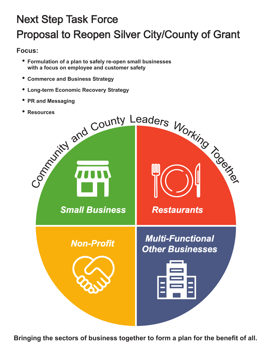# Next Step Task Force Proposal to Reopen Silver City/County of Grant

# **Focus:**

- **Formulation of a plan to safely re-open small businesses with a focus on employee and customer safety**
- **Commerce and Business Strategy**
- **Long-term Economic Recovery Strategy**
- **PR and Messaging**
- 



**Bringing the sectors of business together to form a plan for the benefit of all.**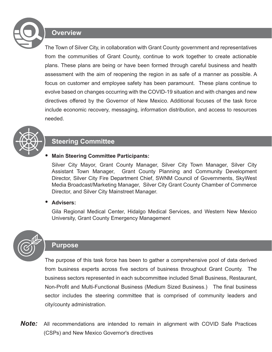

### **Overview**

The Town of Silver City, in collaboration with Grant County government and representatives from the communities of Grant County, continue to work together to create actionable plans. These plans are being or have been formed through careful business and health assessment with the aim of reopening the region in as safe of a manner as possible. A focus on customer and employee safety has been paramount. These plans continue to evolve based on changes occurring with the COVID-19 situation and with changes and new directives offered by the Governor of New Mexico. Additional focuses of the task force include economic recovery, messaging, information distribution, and access to resources needed.



## **Steering Committee**

#### **Main Steering Committee Participants:**

Silver City Mayor, Grant County Manager, Silver City Town Manager, Silver City Assistant Town Manager, Grant County Planning and Community Development Director, Silver City Fire Department Chief, SWNM Council of Governments, SkyWest Media Broadcast/Marketing Manager, Silver City Grant County Chamber of Commerce Director, and Silver City Mainstreet Manager.

#### **Advisers:**

Gila Regional Medical Center, Hidalgo Medical Services, and Western New Mexico University, Grant County Emergency Management



### **Purpose**

The purpose of this task force has been to gather a comprehensive pool of data derived from business experts across five sectors of business throughout Grant County. The business sectors represented in each subcommittee included Small Business, Restaurant, Non-Profit and Multi-Functional Business (Medium Sized Business.) The final business sector includes the steering committee that is comprised of community leaders and city/county administration.

*Note:* All recommendations are intended to remain in alignment with COVID Safe Practices (CSPs) and New Mexico Governor's directives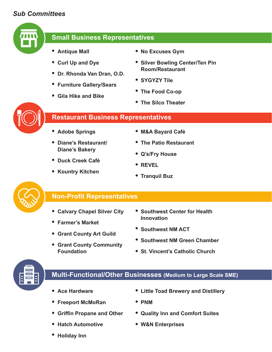# *Sub Committees*



# **Small Business Representatives**

- **Antique Mall**
- **Curl Up and Dye**
- **Dr. Rhonda Van Dran, O.D.**
- **Furniture Gallery/Sears**
- **Gila Hike and Bike**
- **No Excuses Gym**
- **Silver Bowling Center/Ten Pin Room/Restaurant**
- **SYGYZY Tile**
- **The Food Co-op**
- **The Silco Theater**



### **Restaurant Business Representatives**

- **Adobe Springs**
- **Diane's Restaurant/ Diane's Bakery**

**• Kountry Kitchen** 

- **Duck Creek Café**
- **M&A Bayard Café**
- **The Patio Restaurant**
- **Q's/Fry House**
- **REVEL**
- **Tranquil Buz**



### **Non-Profit Representatives**

- **Calvary Chapel Silver City**
- **Farmer's Market**
- **Grant County Art Guild**
- **Grant County Community Foundation**
- **Southwest Center for Health Innovation**
- **Southwest NM ACT**
- **Southwest NM Green Chamber**
- **St. Vincent's Catholic Church**



# **Multi-Functional/Other Businesses (Medium to Large Scale SME)**

- **Ace Hardware**
- **Freeport McMoRan**
- **Griffin Propane and Other**
- **Hatch Automotive**
- **Little Toad Brewery and Distillery**
- **PNM**
- **Quality Inn and Comfort Suites**
- **W&N Enterprises**

**Holiday Inn**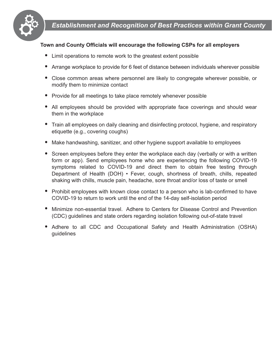

### **Town and County Officials will encourage the following CSPs for all employers**

- Limit operations to remote work to the greatest extent possible
- Arrange workplace to provide for 6 feet of distance between individuals wherever possible
- Close common areas where personnel are likely to congregate wherever possible, or modify them to minimize contact
- Provide for all meetings to take place remotely whenever possible
- All employees should be provided with appropriate face coverings and should wear them in the workplace
- Train all employees on daily cleaning and disinfecting protocol, hygiene, and respiratory etiquette (e.g., covering coughs)
- Make handwashing, sanitizer, and other hygiene support available to employees
- Screen employees before they enter the workplace each day (verbally or with a written form or app). Send employees home who are experiencing the following COVID-19 symptoms related to COVID-19 and direct them to obtain free testing through Department of Health (DOH) • Fever, cough, shortness of breath, chills, repeated shaking with chills, muscle pain, headache, sore throat and/or loss of taste or smell
- Prohibit employees with known close contact to a person who is lab-confirmed to have COVID-19 to return to work until the end of the 14-day self-isolation period
- Minimize non-essential travel. Adhere to Centers for Disease Control and Prevention (CDC) guidelines and state orders regarding isolation following out-of-state travel
- Adhere to all CDC and Occupational Safety and Health Administration (OSHA) guidelines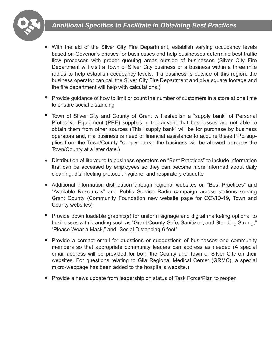# *Additional Specifics to Facilitate in Obtaining Best Practices*



- With the aid of the Silver City Fire Department, establish varying occupancy levels based on Govenor's phases for businesses and help businesses determine best traffic flow processes with proper queuing areas outside of businesses (Silver City Fire Department will visit a Town of Silver City business or a business within a three mile radius to help establish occupancy levels. If a business is outside of this region, the business operator can call the Silver City Fire Department and give square footage and the fire department will help with calculations.)
- Provide guidance of how to limit or count the number of customers in a store at one time to ensure social distancing
- Town of Silver City and County of Grant will establish a "supply bank" of Personal Protective Equipment (PPE) supplies in the advent that businesses are not able to obtain them from other sources (This "supply bank" will be for purchase by business operators and, if a business is need of financial assistance to acquire these PPE supplies from the Town/County "supply bank," the business will be allowed to repay the Town/County at a later date.)
- Distribution of literature to business operators on "Best Practices" to include information that can be accessed by employees so they can become more informed about daily cleaning, disinfecting protocol, hygiene, and respiratory etiquette
- Additional information distribution through regional websites on "Best Practices" and "Available Resources" and Public Service Radio campaign across stations serving Grant County (Community Foundation new website page for COVID-19, Town and County websites)
- Provide down loadable graphic(s) for uniform signage and digital marketing optional to businesses with branding such as "Grant County-Safe, Sanitized, and Standing Strong," "Please Wear a Mask," and "Social Distancing-6 feet"
- Provide a contact email for questions or suggestions of businesses and community members so that appropriate community leaders can address as needed (A special email address will be provided for both the County and Town of Silver City on their websites. For questions relating to Gila Regional Medical Center (GRMC), a special micro-webpage has been added to the hospital's website.)
- Provide a news update from leadership on status of Task Force/Plan to reopen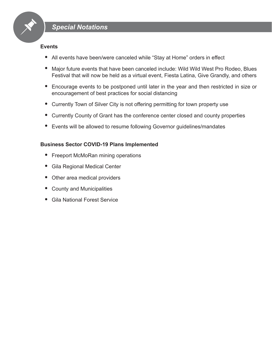

#### **Events**

- All events have been/were canceled while "Stay at Home" orders in effect
- Major future events that have been canceled include: Wild Wild West Pro Rodeo, Blues Festival that will now be held as a virtual event, Fiesta Latina, Give Grandly, and others
- Encourage events to be postponed until later in the year and then restricted in size or encouragement of best practices for social distancing
- Currently Town of Silver City is not offering permitting for town property use
- Currently County of Grant has the conference center closed and county properties
- Events will be allowed to resume following Governor guidelines/mandates

#### **Business Sector COVID-19 Plans Implemented**

- Freeport McMoRan mining operations
- Gila Regional Medical Center
- Other area medical providers
- County and Municipalities
- Gila National Forest Service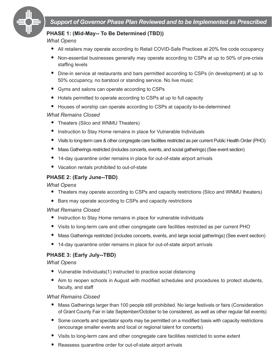

### **PHASE 1: (Mid-May-- To Be Determined (TBD))**

#### *What Opens*

- All retailers may operate according to Retail COVID-Safe Practices at 20% fire code occupancy
- Non-essential businesses generally may operate according to CSPs at up to 50% of pre-crisis staffing levels
- Dine-in service at restaurants and bars permitted according to CSPs (in development) at up to 50% occupancy, no barstool or standing service. No live music
- Gyms and salons can operate according to CSPs
- Hotels permitted to operate according to CSPs at up to full capacity
- Houses of worship can operate according to CSPs at capacity to-be-determined

#### *What Remains Closed*

- Theaters (Silco and WNMU Theaters)
- Instruction to Stay Home remains in place for Vulnerable Individuals
- Visits to long-term care & other congregate care facilities restricted as per current Public Health Order (PHO)
- $\bullet$ Mass Gatherings restricted (includes concerts, events, and social gatherings) (See event section)
- 14-day quarantine order remains in place for out-of-state airport arrivals
- Vacation rentals prohibited to out-of-state

### **PHASE 2: (Early June--TBD)**

#### *What Opens*

- Theaters may operate according to CSPs and capacity restrictions (Silco and WNMU theaters)
- Bars may operate according to CSPs and capacity restrictions

#### *What Remains Closed*

- Instruction to Stay Home remains in place for vulnerable individuals
- Visits to long-term care and other congregate care facilities restricted as per current PHO
- Mass Gatherings restricted (includes concerts, events, and large social gatherings) (See event section)
- 14-day quarantine order remains in place for out-of-state airport arrivals

#### **PHASE 3: (Early July--TBD)**

#### *What Opens*

- Vulnerable Individuals(1) instructed to practice social distancing
- Aim to reopen schools in August with modified schedules and procedures to protect students, faculty, and staff

#### *What Remains Closed*

- Mass Gatherings larger than 100 people still prohibited. No large festivals or fairs (Consideration of Grant County Fair in late September/October to be considered, as well as other regular fall events)
- Some concerts and spectator sports may be permitted on a modified basis with capacity restrictions (encourage smaller events and local or regional talent for concerts)
- Visits to long-term care and other congregate care facilities restricted to some extent
- Reassess quarantine order for out-of-state airport arrivals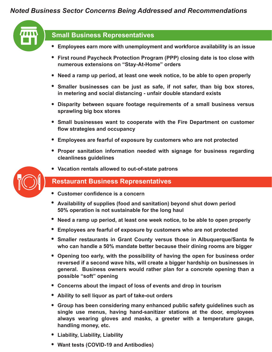# *Noted Business Sector Concerns Being Addressed and Recommendations*



# **Small Business Representatives**

- **Employees earn more with unemployment and workforce availability is an issue**
- **First round Paycheck Protection Program (PPP) closing date is too close with numerous extensions on "Stay-At-Home" orders**
- **Need a ramp up period, at least one week notice, to be able to open properly**
- **Smaller businesses can be just as safe, if not safer, than big box stores, in metering and social distancing - unfair double standard exists**
- **Disparity between square footage requirements of a small business versus sprawling big box stores**
- **Small businesses want to cooperate with the Fire Department on customer flow strategies and occupancy**
- **Employees are fearful of exposure by customers who are not protected**
- **Proper sanitation information needed with signage for business regarding cleanliness guidelines**
- **Vacation rentals allowed to out-of-state patrons**

### **Restaurant Business Representatives**

- **Customer confidence is a concern**
- **Availability of supplies (food and sanitation) beyond shut down period 50% operation is not sustainable for the long haul**
- **Need a ramp up period, at least one week notice, to be able to open properly**
- **Employees are fearful of exposure by customers who are not protected**
- **Smaller restaurants in Grant County versus those in Albuquerque/Santa fe who can handle a 50% mandate better because their dining rooms are bigger**
- **Opening too early, with the possibility of having the open for business order reversed if a second wave hits, will create a bigger hardship on businesses in general. Business owners would rather plan for a concrete opening than a possible "soft" opening**
- **Concerns about the impact of loss of events and drop in tourism**
- **Ability to sell liquor as part of take-out orders**
- **Group has been considering many enhanced public safety guidelines such as single use menus, having hand-sanitizer stations at the door, employees always wearing gloves and masks, a greeter with a temperature gauge, handling money, etc.**
- **Liability, Liability, Liability**
- **Want tests (COVID-19 and Antibodies)**

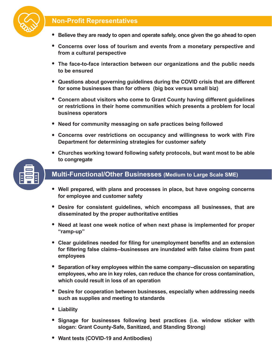# **Non-Profit Representatives**



- **Believe they are ready to open and operate safely, once given the go ahead to open**
- **Concerns over loss of tourism and events from a monetary perspective and from a cultural perspective**
- **The face-to-face interaction between our organizations and the public needs to be ensured**
- **Questions about governing guidelines during the COVID crisis that are different for some businesses than for others (big box versus small biz)**
- **Concern about visitors who come to Grant County having different guidelines or restrictions in their home communities which presents a problem for local business operators**
- **Need for community messaging on safe practices being followed**
- **Concerns over restrictions on occupancy and willingness to work with Fire Department for determining strategies for customer safety**
- **Churches working toward following safety protocols, but want most to be able to congregate**



# **Multi-Functional/Other Businesses (Medium to Large Scale SME)**

- **Well prepared, with plans and processes in place, but have ongoing concerns for employee and customer safety**
- **Desire for consistent guidelines, which encompass all businesses, that are disseminated by the proper authoritative entities**
- **Need at least one week notice of when next phase is implemented for proper "ramp-up"**
- **Clear guidelines needed for filing for unemployment benefits and an extension for filtering false claims--businesses are inundated with false claims from past employees**
- **Separation of key employees within the same company--discussion on separating employees, who are in key roles, can reduce the chance for cross contamination, which could result in loss of an operation**
- **Desire for cooperation between businesses, especially when addressing needs such as supplies and meeting to standards**
- **Liability**
- **Signage for businesses following best practices (i.e. window sticker with slogan: Grant County-Safe, Sanitized, and Standing Strong)**
- **Want tests (COVID-19 and Antibodies)**